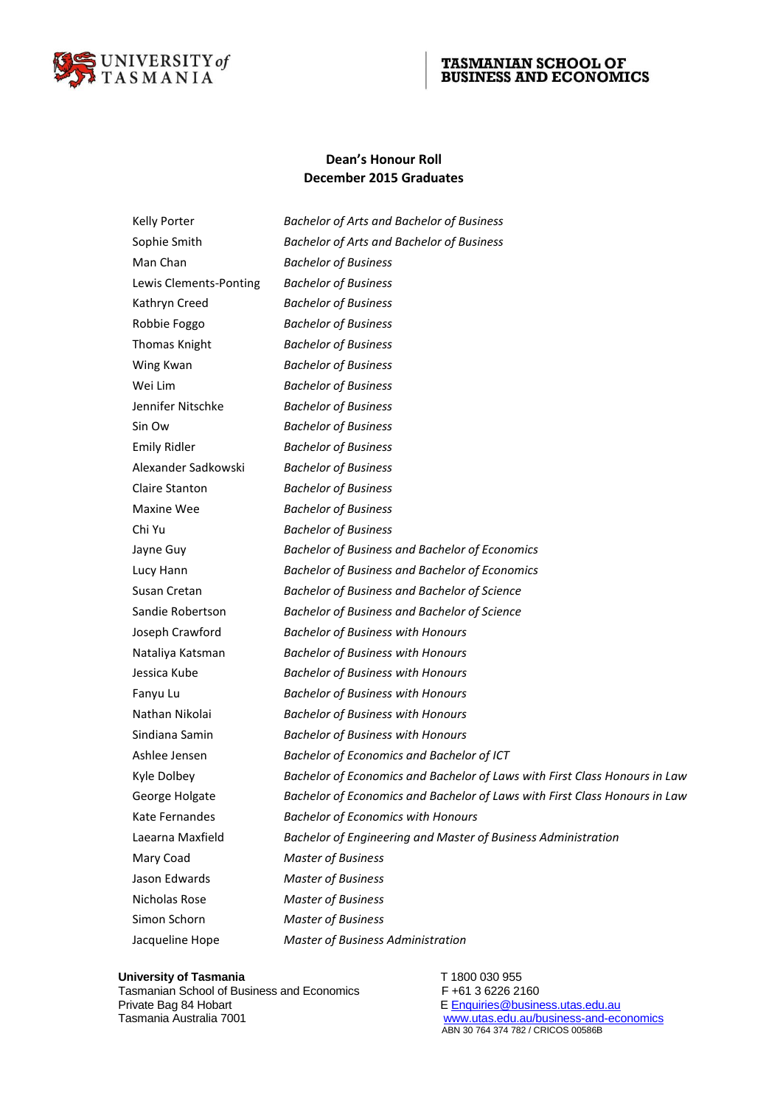

# TASMANIAN SCHOOL OF BUSINESS AND ECONOMICS

## **Dean's Honour Roll December 2015 Graduates**

| <b>Kelly Porter</b>    | <b>Bachelor of Arts and Bachelor of Business</b>                           |
|------------------------|----------------------------------------------------------------------------|
| Sophie Smith           | <b>Bachelor of Arts and Bachelor of Business</b>                           |
| Man Chan               | <b>Bachelor of Business</b>                                                |
| Lewis Clements-Ponting | <b>Bachelor of Business</b>                                                |
| Kathryn Creed          | <b>Bachelor of Business</b>                                                |
| Robbie Foggo           | <b>Bachelor of Business</b>                                                |
| Thomas Knight          | <b>Bachelor of Business</b>                                                |
| Wing Kwan              | <b>Bachelor of Business</b>                                                |
| Wei Lim                | <b>Bachelor of Business</b>                                                |
| Jennifer Nitschke      | <b>Bachelor of Business</b>                                                |
| Sin Ow                 | <b>Bachelor of Business</b>                                                |
| <b>Emily Ridler</b>    | <b>Bachelor of Business</b>                                                |
| Alexander Sadkowski    | <b>Bachelor of Business</b>                                                |
| <b>Claire Stanton</b>  | <b>Bachelor of Business</b>                                                |
| <b>Maxine Wee</b>      | <b>Bachelor of Business</b>                                                |
| Chi Yu                 | <b>Bachelor of Business</b>                                                |
| Jayne Guy              | <b>Bachelor of Business and Bachelor of Economics</b>                      |
| Lucy Hann              | <b>Bachelor of Business and Bachelor of Economics</b>                      |
| Susan Cretan           | Bachelor of Business and Bachelor of Science                               |
| Sandie Robertson       | Bachelor of Business and Bachelor of Science                               |
| Joseph Crawford        | <b>Bachelor of Business with Honours</b>                                   |
| Nataliya Katsman       | <b>Bachelor of Business with Honours</b>                                   |
| Jessica Kube           | <b>Bachelor of Business with Honours</b>                                   |
| Fanyu Lu               | <b>Bachelor of Business with Honours</b>                                   |
| Nathan Nikolai         | <b>Bachelor of Business with Honours</b>                                   |
| Sindiana Samin         | <b>Bachelor of Business with Honours</b>                                   |
| Ashlee Jensen          | Bachelor of Economics and Bachelor of ICT                                  |
| Kyle Dolbey            | Bachelor of Economics and Bachelor of Laws with First Class Honours in Law |
| George Holgate         | Bachelor of Economics and Bachelor of Laws with First Class Honours in Law |
| Kate Fernandes         | <b>Bachelor of Economics with Honours</b>                                  |
| Laearna Maxfield       | Bachelor of Engineering and Master of Business Administration              |
| Mary Coad              | <b>Master of Business</b>                                                  |
| Jason Edwards          | <b>Master of Business</b>                                                  |
| Nicholas Rose          | <b>Master of Business</b>                                                  |
| Simon Schorn           | <b>Master of Business</b>                                                  |
| Jacqueline Hope        | Master of Business Administration                                          |

**University of Tasmania**<br>
Tasmanian School of Business and Economics
F+61 3 6226 2160 Tasmanian School of Business and Economics<br>Private Bag 84 Hobart Private Bag 84 Hobart **E** [Enquiries@business.utas.edu.au](mailto:AcademicSupport.TSBE@utas.edu.au)<br>
Tasmania Australia 7001 **Contrary and English Contrary Contrary Contrary Contrary Contrary Contrary Contrary Contra** 

Tasmania Australia 7001 *[www.utas.edu.au/business-and-economics](http://www.utas.edu.au/business-and-economics)*<br>ABN 30 764 374 782 / CRICOS 00586B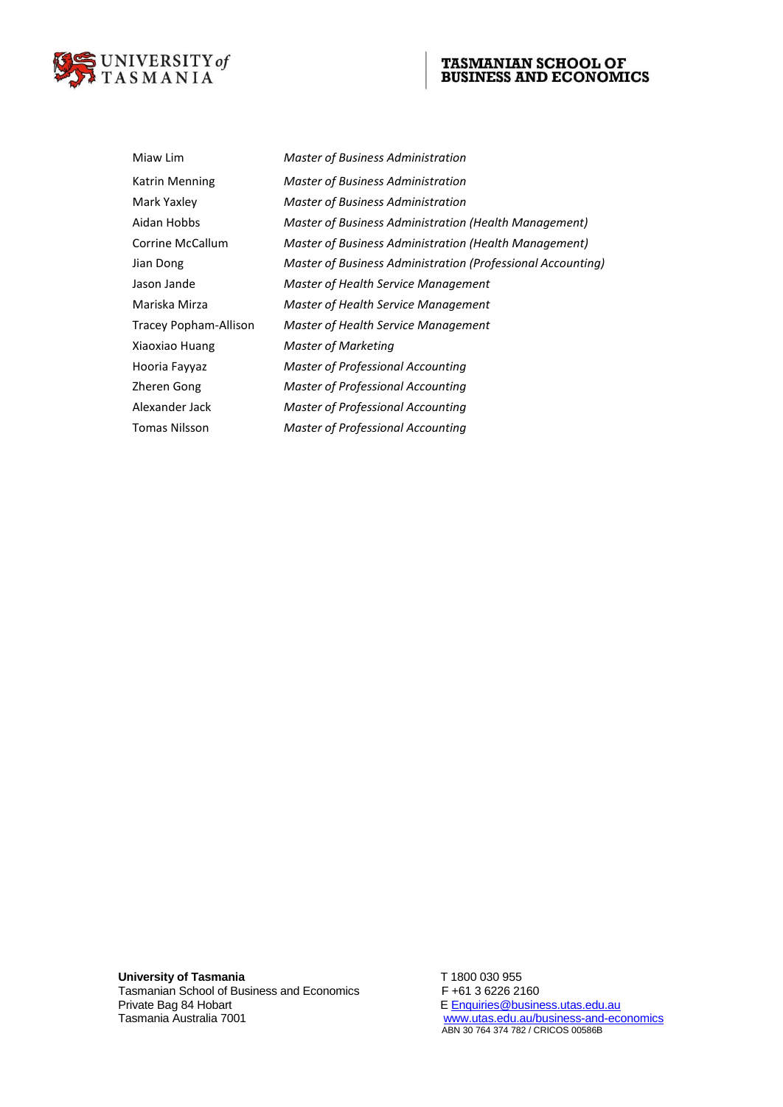

# TASMANIAN SCHOOL OF BUSINESS AND ECONOMICS

| Miaw Lim              | Master of Business Administration                           |
|-----------------------|-------------------------------------------------------------|
| <b>Katrin Menning</b> | Master of Business Administration                           |
| Mark Yaxley           | Master of Business Administration                           |
| Aidan Hobbs           | Master of Business Administration (Health Management)       |
| Corrine McCallum      | Master of Business Administration (Health Management)       |
| Jian Dong             | Master of Business Administration (Professional Accounting) |
| Jason Jande           | Master of Health Service Management                         |
| Mariska Mirza         | Master of Health Service Management                         |
| Tracey Popham-Allison | Master of Health Service Management                         |
| Xiaoxiao Huang        | Master of Marketing                                         |
| Hooria Fayyaz         | Master of Professional Accounting                           |
| Zheren Gong           | Master of Professional Accounting                           |
| Alexander Jack        | <b>Master of Professional Accounting</b>                    |
| <b>Tomas Nilsson</b>  | Master of Professional Accounting                           |
|                       |                                                             |